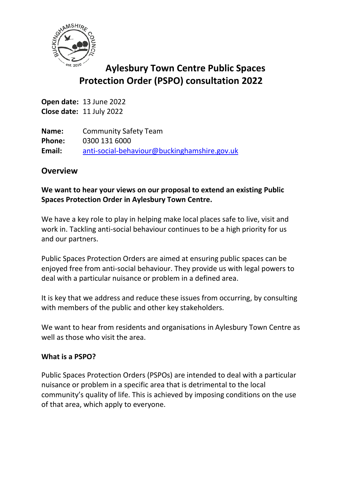

# **Aylesbury Town Centre Public Spaces Protection Order (PSPO) consultation 2022**

**Open date:** 13 June 2022 **Close date:** 11 July 2022

**Name:** Community Safety Team **Phone:** 0300 131 6000 **Email:** [anti-social-behaviour@buckinghamshire.gov.uk](mailto:anti-social-behaviour@buckinghamshire.gov.uk)

# **Overview**

# **We want to hear your views on our proposal to extend an existing Public Spaces Protection Order in Aylesbury Town Centre.**

We have a key role to play in helping make local places safe to live, visit and work in. Tackling anti-social behaviour continues to be a high priority for us and our partners.

Public Spaces Protection Orders are aimed at ensuring public spaces can be enjoyed free from anti-social behaviour. They provide us with legal powers to deal with a particular nuisance or problem in a defined area.

It is key that we address and reduce these issues from occurring, by consulting with members of the public and other key stakeholders.

We want to hear from residents and organisations in Aylesbury Town Centre as well as those who visit the area.

#### **What is a PSPO?**

Public Spaces Protection Orders (PSPOs) are intended to deal with a particular nuisance or problem in a specific area that is detrimental to the local community's quality of life. This is achieved by imposing conditions on the use of that area, which apply to everyone.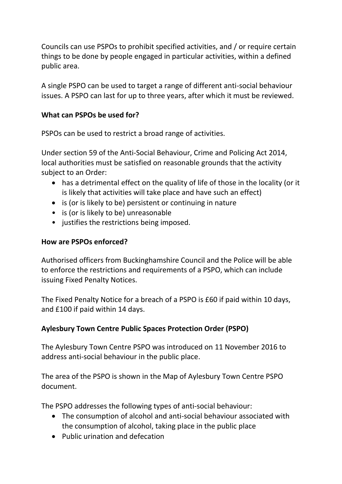Councils can use PSPOs to prohibit specified activities, and / or require certain things to be done by people engaged in particular activities, within a defined public area.

A single PSPO can be used to target a range of different anti-social behaviour issues. A PSPO can last for up to three years, after which it must be reviewed.

# **What can PSPOs be used for?**

PSPOs can be used to restrict a broad range of activities.

Under section 59 of the Anti-Social Behaviour, Crime and Policing Act 2014, local authorities must be satisfied on reasonable grounds that the activity subject to an Order:

- has a detrimental effect on the quality of life of those in the locality (or it is likely that activities will take place and have such an effect)
- is (or is likely to be) persistent or continuing in nature
- is (or is likely to be) unreasonable
- justifies the restrictions being imposed.

# **How are PSPOs enforced?**

Authorised officers from Buckinghamshire Council and the Police will be able to enforce the restrictions and requirements of a PSPO, which can include issuing Fixed Penalty Notices.

The Fixed Penalty Notice for a breach of a PSPO is £60 if paid within 10 days, and £100 if paid within 14 days.

# **Aylesbury Town Centre Public Spaces Protection Order (PSPO)**

The Aylesbury Town Centre PSPO was introduced on 11 November 2016 to address anti-social behaviour in the public place.

The area of the PSPO is shown in the Map of Aylesbury Town Centre PSPO document.

The PSPO addresses the following types of anti-social behaviour:

- The consumption of alcohol and anti-social behaviour associated with the consumption of alcohol, taking place in the public place
- Public urination and defecation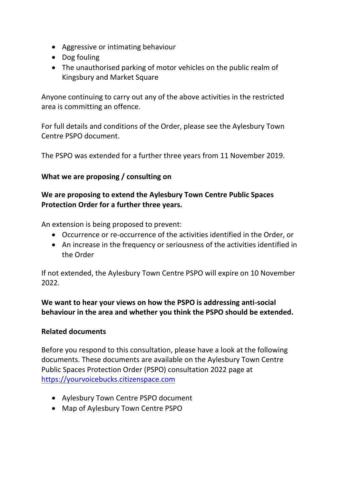- Aggressive or intimating behaviour
- Dog fouling
- The unauthorised parking of motor vehicles on the public realm of Kingsbury and Market Square

Anyone continuing to carry out any of the above activities in the restricted area is committing an offence.

For full details and conditions of the Order, please see the Aylesbury Town Centre PSPO document.

The PSPO was extended for a further three years from 11 November 2019.

# **What we are proposing / consulting on**

# **We are proposing to extend the Aylesbury Town Centre Public Spaces Protection Order for a further three years.**

An extension is being proposed to prevent:

- Occurrence or re-occurrence of the activities identified in the Order, or
- An increase in the frequency or seriousness of the activities identified in the Order

If not extended, the Aylesbury Town Centre PSPO will expire on 10 November 2022.

**We want to hear your views on how the PSPO is addressing anti-social behaviour in the area and whether you think the PSPO should be extended.**

#### **Related documents**

Before you respond to this consultation, please have a look at the following documents. These documents are available on the Aylesbury Town Centre Public Spaces Protection Order (PSPO) consultation 2022 page at [https://yourvoicebucks.citizenspace.com](https://yourvoicebucks.citizenspace.com/)

- Aylesbury Town Centre PSPO document
- Map of Aylesbury Town Centre PSPO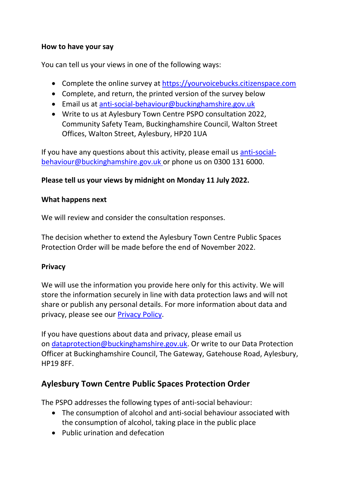# **How to have your say**

You can tell us your views in one of the following ways:

- Complete the online survey at [https://yourvoicebucks.citizenspace.com](https://yourvoicebucks.citizenspace.com/)
- Complete, and return, the printed version of the survey below
- Email us at [anti-social-behaviour@buckinghamshire.gov.uk](mailto:anti-social-behaviour@buckinghamshire.gov.uk)
- Write to us at Aylesbury Town Centre PSPO consultation 2022, Community Safety Team, Buckinghamshire Council, Walton Street Offices, Walton Street, Aylesbury, HP20 1UA

If you have any questions about this activity, please email us [anti-social](mailto:anti-social-behaviour@buckinghamshire.gov.uk)[behaviour@buckinghamshire.gov.uk](mailto:anti-social-behaviour@buckinghamshire.gov.uk) or phone us on 0300 131 6000.

# **Please tell us your views by midnight on Monday 11 July 2022.**

#### **What happens next**

We will review and consider the consultation responses.

The decision whether to extend the Aylesbury Town Centre Public Spaces Protection Order will be made before the end of November 2022.

# **Privacy**

We will use the information you provide here only for this activity. We will store the information securely in line with data protection laws and will not share or publish any personal details. For more information about data and privacy, please see our [Privacy Policy.](https://www.buckinghamshire.gov.uk/your-council/privacy/privacy-policy/)

If you have questions about data and privacy, please email us on [dataprotection@buckinghamshire.gov.uk.](mailto:dataprotection@buckinghamshire.gov.uk) Or write to our Data Protection Officer at Buckinghamshire Council, The Gateway, Gatehouse Road, Aylesbury, HP19 8FF.

# **Aylesbury Town Centre Public Spaces Protection Order**

The PSPO addresses the following types of anti-social behaviour:

- The consumption of alcohol and anti-social behaviour associated with the consumption of alcohol, taking place in the public place
- Public urination and defecation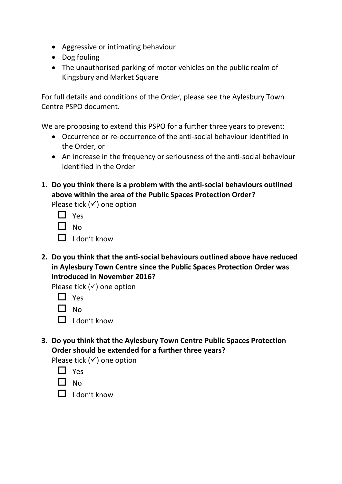- Aggressive or intimating behaviour
- Dog fouling
- The unauthorised parking of motor vehicles on the public realm of Kingsbury and Market Square

For full details and conditions of the Order, please see the Aylesbury Town Centre PSPO document.

We are proposing to extend this PSPO for a further three years to prevent:

- Occurrence or re-occurrence of the anti-social behaviour identified in the Order, or
- An increase in the frequency or seriousness of the anti-social behaviour identified in the Order
- **1. Do you think there is a problem with the anti-social behaviours outlined above within the area of the Public Spaces Protection Order?**

Please tick  $(√)$  one option

| Yes |
|-----|
| No  |

- $\Box$  I don't know
- **2. Do you think that the anti-social behaviours outlined above have reduced in Aylesbury Town Centre since the Public Spaces Protection Order was introduced in November 2016?**

Please tick  $($ ) one option

 $\Box$  Yes

 $\Box$  No

- $\Box$  I don't know
- **3. Do you think that the Aylesbury Town Centre Public Spaces Protection Order should be extended for a further three years?**

Please tick  $(√)$  one option

| I |
|---|
|---|

 $\Box$  No

 $\Box$  I don't know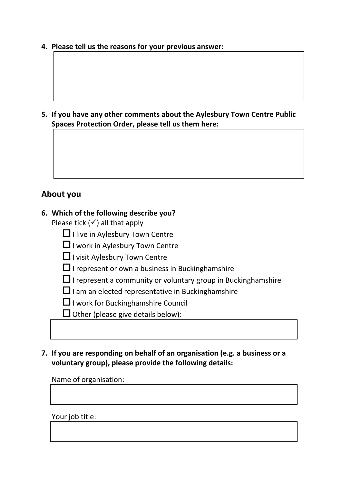**4. Please tell us the reasons for your previous answer:**

**5. If you have any other comments about the Aylesbury Town Centre Public Spaces Protection Order, please tell us them here:**

# **About you**

#### **6. Which of the following describe you?**

Please tick  $($  $\checkmark$ ) all that apply

- $\Box$  I live in Aylesbury Town Centre
- $\Box$  I work in Aylesbury Town Centre

 $\Box$  I visit Aylesbury Town Centre

- $\Box$  I represent or own a business in Bucking hamshire
- $\Box$  I represent a community or voluntary group in Bucking hamshire
- $\square$  I am an elected representative in Bucking hamshire

 $\Box$  I work for Bucking hamshire Council

 $\Box$  Other (please give details below):

# **7. If you are responding on behalf of an organisation (e.g. a business or a voluntary group), please provide the following details:**

Name of organisation:

Your job title: